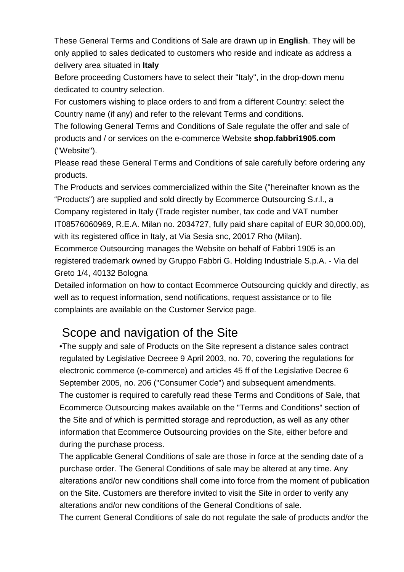These General Terms and Conditions of Sale are drawn up in **English**. They will be only applied to sales dedicated to customers who reside and indicate as address a delivery area situated in **Italy**

Before proceeding Customers have to select their "Italy", in the drop-down menu dedicated to country selection.

For customers wishing to place orders to and from a different Country: select the Country name (if any) and refer to the relevant Terms and conditions.

The following General Terms and Conditions of Sale regulate the offer and sale of products and / or services on the e-commerce Website **shop.fabbri1905.com** ("Website").

Please read these General Terms and Conditions of sale carefully before ordering any products.

The Products and services commercialized within the Site ("hereinafter known as the "Products") are supplied and sold directly by [Ecommerce Outsourcing S.r.l.,](http://www.terashop.it) a Company registered in Italy (Trade register number, tax code and VAT number IT08576060969, R.E.A. Milan no. 2034727, fully paid share capital of EUR 30,000.00), with its registered office in Italy, at Via Sesia snc, 20017 Rho (Milan). Ecommerce Outsourcing manages the Website on behalf of Fabbri 1905 is an registered trademark owned by Gruppo Fabbri G. Holding Industriale S.p.A. - Via del Greto 1/4, 40132 Bologna

Detailed information on how to contact Ecommerce Outsourcing quickly and directly, as well as to request information, send notifications, request assistance or to file complaints are available on the [Customer Service](@ED_ServizioClienti) page.

# Scope and navigation of the Site

•The supply and sale of Products on the Site represent a distance sales contract regulated by Legislative Decreee 9 April 2003, no. 70, covering the regulations for electronic commerce (e-commerce) and articles 45 ff of the Legislative Decree 6 September 2005, no. 206 ("Consumer Code") and subsequent amendments. The customer is required to carefully read these Terms and Conditions of Sale, that Ecommerce Outsourcing makes available on the "Terms and Conditions" section of the Site and of which is permitted storage and reproduction, as well as any other information that Ecommerce Outsourcing provides on the Site, either before and during the purchase process.

The applicable General Conditions of sale are those in force at the sending date of a purchase order. The General Conditions of sale may be altered at any time. Any alterations and/or new conditions shall come into force from the moment of publication on the Site. Customers are therefore invited to visit the Site in order to verify any alterations and/or new conditions of the General Conditions of sale.

The current General Conditions of sale do not regulate the sale of products and/or the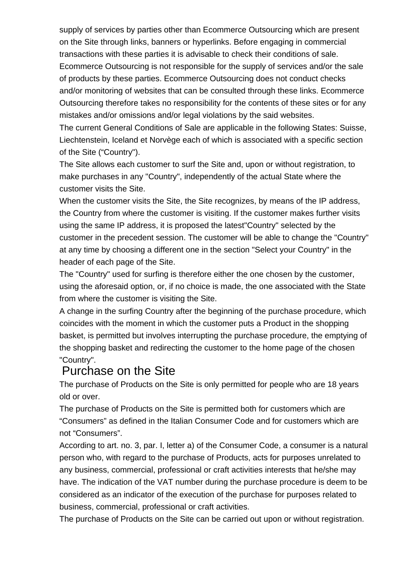supply of services by parties other than Ecommerce Outsourcing which are present on the Site through links, banners or hyperlinks. Before engaging in commercial transactions with these parties it is advisable to check their conditions of sale. Ecommerce Outsourcing is not responsible for the supply of services and/or the sale of products by these parties. Ecommerce Outsourcing does not conduct checks and/or monitoring of websites that can be consulted through these links. Ecommerce Outsourcing therefore takes no responsibility for the contents of these sites or for any mistakes and/or omissions and/or legal violations by the said websites.

The current General Conditions of Sale are applicable in the following States: Suisse, Liechtenstein, Iceland et Norvège each of which is associated with a specific section of the Site ("Country").

The Site allows each customer to surf the Site and, upon or without registration, to make purchases in any "Country", independently of the actual State where the customer visits the Site.

When the customer visits the Site, the Site recognizes, by means of the IP address, the Country from where the customer is visiting. If the customer makes further visits using the same IP address, it is proposed the latest"Country" selected by the customer in the precedent session. The customer will be able to change the "Country" at any time by choosing a different one in the section "Select your Country" in the header of each page of the Site.

The "Country" used for surfing is therefore either the one chosen by the customer, using the aforesaid option, or, if no choice is made, the one associated with the State from where the customer is visiting the Site.

A change in the surfing Country after the beginning of the purchase procedure, which coincides with the moment in which the customer puts a Product in the shopping basket, is permitted but involves interrupting the purchase procedure, the emptying of the shopping basket and redirecting the customer to the home page of the chosen "Country".

### Purchase on the Site

The purchase of Products on the Site is only permitted for people who are 18 years old or over.

The purchase of Products on the Site is permitted both for customers which are "Consumers" as defined in the Italian Consumer Code and for customers which are not "Consumers".

According to art. no. 3, par. I, letter a) of the Consumer Code, a consumer is a natural person who, with regard to the purchase of Products, acts for purposes unrelated to any business, commercial, professional or craft activities interests that he/she may have. The indication of the VAT number during the purchase procedure is deem to be considered as an indicator of the execution of the purchase for purposes related to business, commercial, professional or craft activities.

The purchase of Products on the Site can be carried out upon or without registration.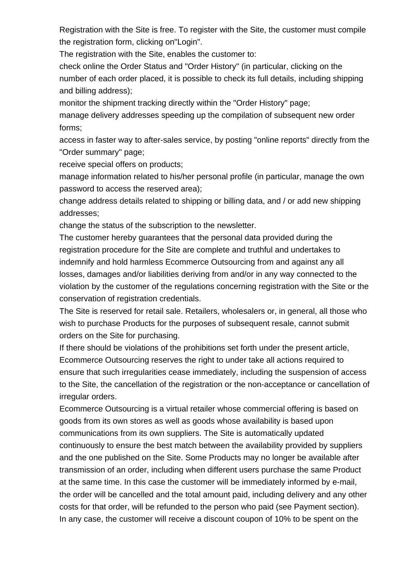Registration with the Site is free. To register with the Site, the customer must compile the registration form, clicking on"Login".

The registration with the Site, enables the customer to:

check online the Order Status and "Order History" (in particular, clicking on the number of each order placed, it is possible to check its full details, including shipping and billing address);

monitor the shipment tracking directly within the "Order History" page;

manage delivery addresses speeding up the compilation of subsequent new order forms;

access in faster way to after-sales service, by posting "online reports" directly from the "Order summary" page;

receive special offers on products;

manage information related to his/her personal profile (in particular, manage the own password to access the reserved area);

change address details related to shipping or billing data, and / or add new shipping addresses;

change the status of the subscription to the newsletter.

The customer hereby guarantees that the personal data provided during the registration procedure for the Site are complete and truthful and undertakes to indemnify and hold harmless Ecommerce Outsourcing from and against any all losses, damages and/or liabilities deriving from and/or in any way connected to the violation by the customer of the regulations concerning registration with the Site or the conservation of registration credentials.

The Site is reserved for retail sale. Retailers, wholesalers or, in general, all those who wish to purchase Products for the purposes of subsequent resale, cannot submit orders on the Site for purchasing.

If there should be violations of the prohibitions set forth under the present article, Ecommerce Outsourcing reserves the right to under take all actions required to ensure that such irregularities cease immediately, including the suspension of access to the Site, the cancellation of the registration or the non-acceptance or cancellation of irregular orders.

Ecommerce Outsourcing is a virtual retailer whose commercial offering is based on goods from its own stores as well as goods whose availability is based upon communications from its own suppliers. The Site is automatically updated continuously to ensure the best match between the availability provided by suppliers and the one published on the Site. Some Products may no longer be available after transmission of an order, including when different users purchase the same Product at the same time. In this case the customer will be immediately informed by e-mail, the order will be cancelled and the total amount paid, including delivery and any other costs for that order, will be refunded to the person who paid (see Payment section). In any case, the customer will receive a discount coupon of 10% to be spent on the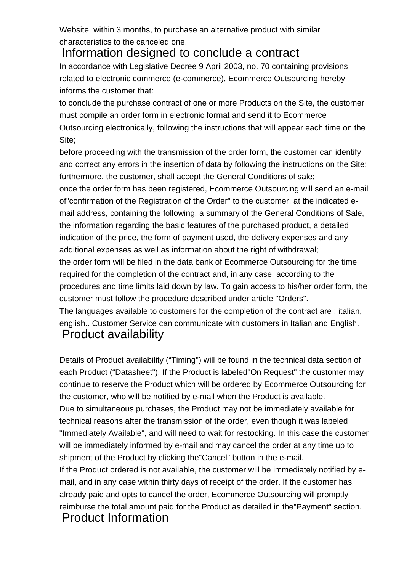Website, within 3 months, to purchase an alternative product with similar characteristics to the canceled one.

Information designed to conclude a contract In accordance with Legislative Decree 9 April 2003, no. 70 containing provisions related to electronic commerce (e-commerce), Ecommerce Outsourcing hereby informs the customer that:

to conclude the purchase contract of one or more Products on the Site, the customer must compile an order form in electronic format and send it to Ecommerce Outsourcing electronically, following the instructions that will appear each time on the Site;

before proceeding with the transmission of the order form, the customer can identify and correct any errors in the insertion of data by following the instructions on the Site; furthermore, the customer, shall accept the General Conditions of sale;

once the order form has been registered, Ecommerce Outsourcing will send an e-mail of"confirmation of the Registration of the Order" to the customer, at the indicated email address, containing the following: a summary of the General Conditions of Sale, the information regarding the basic features of the purchased product, a detailed indication of the price, the form of payment used, the delivery expenses and any additional expenses as well as information about the right of withdrawal; the order form will be filed in the data bank of Ecommerce Outsourcing for the time

required for the completion of the contract and, in any case, according to the procedures and time limits laid down by law. To gain access to his/her order form, the customer must follow the procedure described under article "Orders".

The languages available to customers for the completion of the contract are : italian, english.. Customer Service can communicate with customers in Italian and English. Product availability

Details of Product availability ("Timing") will be found in the technical data section of each Product ("Datasheet"). If the Product is labeled"On Request" the customer may continue to reserve the Product which will be ordered by Ecommerce Outsourcing for the customer, who will be notified by e-mail when the Product is available. Due to simultaneous purchases, the Product may not be immediately available for technical reasons after the transmission of the order, even though it was labeled "Immediately Available", and will need to wait for restocking. In this case the customer will be immediately informed by e-mail and may cancel the order at any time up to shipment of the Product by clicking the"Cancel" button in the e-mail. If the Product ordered is not available, the customer will be immediately notified by email, and in any case within thirty days of receipt of the order. If the customer has

already paid and opts to cancel the order, Ecommerce Outsourcing will promptly reimburse the total amount paid for the Product as detailed in the"Payment" section. Product Information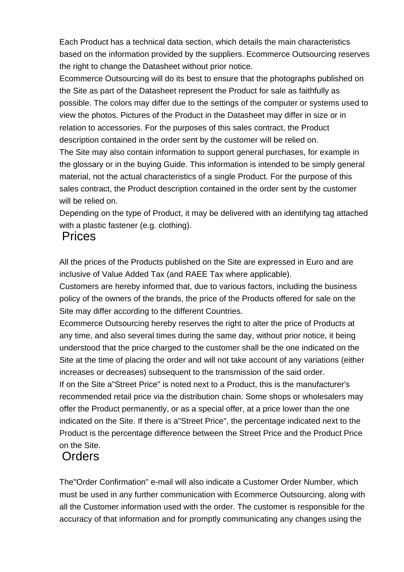Each Product has a technical data section, which details the main characteristics based on the information provided by the suppliers. Ecommerce Outsourcing reserves the right to change the Datasheet without prior notice.

Ecommerce Outsourcing will do its best to ensure that the photographs published on the Site as part of the Datasheet represent the Product for sale as faithfully as possible. The colors may differ due to the settings of the computer or systems used to view the photos. Pictures of the Product in the Datasheet may differ in size or in relation to accessories. For the purposes of this sales contract, the Product description contained in the order sent by the customer will be relied on.

The Site may also contain information to support general purchases, for example in the glossary or in the buying Guide. This information is intended to be simply general material, not the actual characteristics of a single Product. For the purpose of this sales contract, the Product description contained in the order sent by the customer will be relied on.

Depending on the type of Product, it may be delivered with an identifying tag attached with a plastic fastener (e.g. clothing).

### Prices

All the prices of the Products published on the Site are expressed in Euro and are inclusive of Value Added Tax (and RAEE Tax where applicable).

Customers are hereby informed that, due to various factors, including the business policy of the owners of the brands, the price of the Products offered for sale on the Site may differ according to the different Countries.

Ecommerce Outsourcing hereby reserves the right to alter the price of Products at any time, and also several times during the same day, without prior notice, it being understood that the price charged to the customer shall be the one indicated on the Site at the time of placing the order and will not take account of any variations (either increases or decreases) subsequent to the transmission of the said order. If on the Site a"Street Price" is noted next to a Product, this is the manufacturer's recommended retail price via the distribution chain. Some shops or wholesalers may offer the Product permanently, or as a special offer, at a price lower than the one indicated on the Site. If there is a"Street Price", the percentage indicated next to the Product is the percentage difference between the Street Price and the Product Price on the Site.

# **Orders**

The"Order Confirmation" e-mail will also indicate a Customer Order Number, which must be used in any further communication with Ecommerce Outsourcing, along with all the Customer information used with the order. The customer is responsible for the accuracy of that information and for promptly communicating any changes using the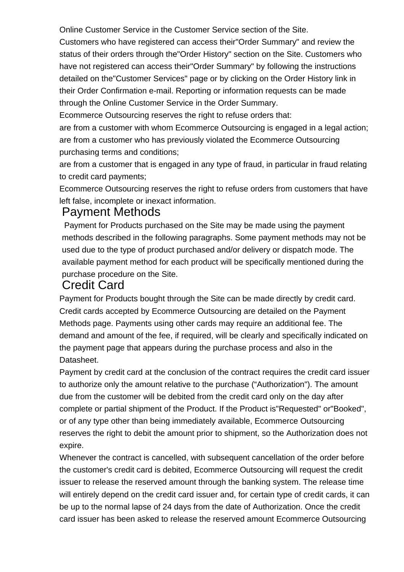Online Customer Service in the Customer Service section of the Site.

Customers who have registered can access their"Order Summary" and review the status of their orders through the"Order History" section on the Site. Customers who have not registered can access their"Order Summary" by following the instructions detailed on the"Customer Services" page or by clicking on the Order History link in their Order Confirmation e-mail. Reporting or information requests can be made through the Online Customer Service in the Order Summary.

Ecommerce Outsourcing reserves the right to refuse orders that:

are from a customer with whom Ecommerce Outsourcing is engaged in a legal action; are from a customer who has previously violated the Ecommerce Outsourcing purchasing terms and conditions;

are from a customer that is engaged in any type of fraud, in particular in fraud relating to credit card payments;

Ecommerce Outsourcing reserves the right to refuse orders from customers that have left false, incomplete or inexact information.

### Payment Methods

 Payment for Products purchased on the Site may be made using the payment methods described in the following paragraphs. Some payment methods may not be used due to the type of product purchased and/or delivery or dispatch mode. The available payment method for each product will be specifically mentioned during the purchase procedure on the Site.

### Credit Card

Payment for Products bought through the Site can be made directly by credit card. Credit cards accepted by Ecommerce Outsourcing are detailed on the Payment Methods page. Payments using other cards may require an additional fee. The demand and amount of the fee, if required, will be clearly and specifically indicated on the payment page that appears during the purchase process and also in the Datasheet.

Payment by credit card at the conclusion of the contract requires the credit card issuer to authorize only the amount relative to the purchase ("Authorization"). The amount due from the customer will be debited from the credit card only on the day after complete or partial shipment of the Product. If the Product is"Requested" or"Booked", or of any type other than being immediately available, Ecommerce Outsourcing reserves the right to debit the amount prior to shipment, so the Authorization does not expire.

Whenever the contract is cancelled, with subsequent cancellation of the order before the customer's credit card is debited, Ecommerce Outsourcing will request the credit issuer to release the reserved amount through the banking system. The release time will entirely depend on the credit card issuer and, for certain type of credit cards, it can be up to the normal lapse of 24 days from the date of Authorization. Once the credit card issuer has been asked to release the reserved amount Ecommerce Outsourcing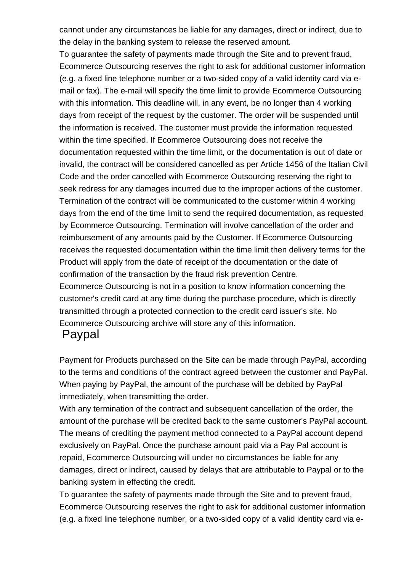cannot under any circumstances be liable for any damages, direct or indirect, due to the delay in the banking system to release the reserved amount.

To guarantee the safety of payments made through the Site and to prevent fraud, Ecommerce Outsourcing reserves the right to ask for additional customer information (e.g. a fixed line telephone number or a two-sided copy of a valid identity card via email or fax). The e-mail will specify the time limit to provide Ecommerce Outsourcing with this information. This deadline will, in any event, be no longer than 4 working days from receipt of the request by the customer. The order will be suspended until the information is received. The customer must provide the information requested within the time specified. If Ecommerce Outsourcing does not receive the documentation requested within the time limit, or the documentation is out of date or invalid, the contract will be considered cancelled as per Article 1456 of the Italian Civil Code and the order cancelled with Ecommerce Outsourcing reserving the right to seek redress for any damages incurred due to the improper actions of the customer. Termination of the contract will be communicated to the customer within 4 working days from the end of the time limit to send the required documentation, as requested by Ecommerce Outsourcing. Termination will involve cancellation of the order and reimbursement of any amounts paid by the Customer. If Ecommerce Outsourcing receives the requested documentation within the time limit then delivery terms for the Product will apply from the date of receipt of the documentation or the date of confirmation of the transaction by the fraud risk prevention Centre. Ecommerce Outsourcing is not in a position to know information concerning the

customer's credit card at any time during the purchase procedure, which is directly transmitted through a protected connection to the credit card issuer's site. No Ecommerce Outsourcing archive will store any of this information.

## Paypal

Payment for Products purchased on the Site can be made through PayPal, according to the terms and conditions of the contract agreed between the customer and PayPal. When paying by PayPal, the amount of the purchase will be debited by PayPal immediately, when transmitting the order.

With any termination of the contract and subsequent cancellation of the order, the amount of the purchase will be credited back to the same customer's PayPal account. The means of crediting the payment method connected to a PayPal account depend exclusively on PayPal. Once the purchase amount paid via a Pay Pal account is repaid, Ecommerce Outsourcing will under no circumstances be liable for any damages, direct or indirect, caused by delays that are attributable to Paypal or to the banking system in effecting the credit.

To guarantee the safety of payments made through the Site and to prevent fraud, Ecommerce Outsourcing reserves the right to ask for additional customer information (e.g. a fixed line telephone number, or a two-sided copy of a valid identity card via e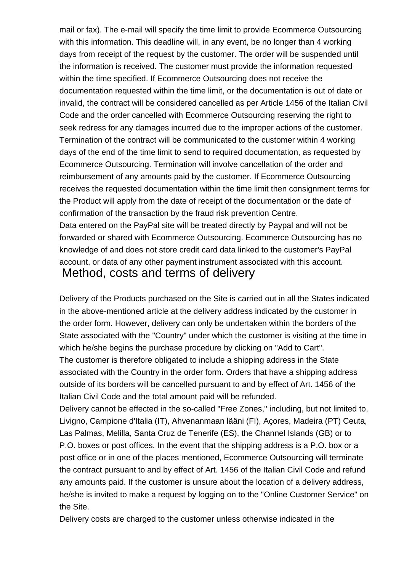mail or fax). The e-mail will specify the time limit to provide Ecommerce Outsourcing with this information. This deadline will, in any event, be no longer than 4 working days from receipt of the request by the customer. The order will be suspended until the information is received. The customer must provide the information requested within the time specified. If Ecommerce Outsourcing does not receive the documentation requested within the time limit, or the documentation is out of date or invalid, the contract will be considered cancelled as per Article 1456 of the Italian Civil Code and the order cancelled with Ecommerce Outsourcing reserving the right to seek redress for any damages incurred due to the improper actions of the customer. Termination of the contract will be communicated to the customer within 4 working days of the end of the time limit to send to required documentation, as requested by Ecommerce Outsourcing. Termination will involve cancellation of the order and reimbursement of any amounts paid by the customer. If Ecommerce Outsourcing receives the requested documentation within the time limit then consignment terms for the Product will apply from the date of receipt of the documentation or the date of confirmation of the transaction by the fraud risk prevention Centre. Data entered on the PayPal site will be treated directly by Paypal and will not be

forwarded or shared with Ecommerce Outsourcing. Ecommerce Outsourcing has no knowledge of and does not store credit card data linked to the customer's PayPal account, or data of any other payment instrument associated with this account. Method, costs and terms of delivery

Delivery of the Products purchased on the Site is carried out in all the States indicated in the above-mentioned article at the delivery address indicated by the customer in the order form. However, delivery can only be undertaken within the borders of the State associated with the "Country" under which the customer is visiting at the time in which he/she begins the purchase procedure by clicking on "Add to Cart". The customer is therefore obligated to include a shipping address in the State associated with the Country in the order form. Orders that have a shipping address outside of its borders will be cancelled pursuant to and by effect of Art. 1456 of the Italian Civil Code and the total amount paid will be refunded.

Delivery cannot be effected in the so-called "Free Zones," including, but not limited to, Livigno, Campione d'Italia (IT), Ahvenanmaan lääni (FI), Açores, Madeira (PT) Ceuta, Las Palmas, Melilla, Santa Cruz de Tenerife (ES), the Channel Islands (GB) or to P.O. boxes or post offices. In the event that the shipping address is a P.O. box or a post office or in one of the places mentioned, Ecommerce Outsourcing will terminate the contract pursuant to and by effect of Art. 1456 of the Italian Civil Code and refund any amounts paid. If the customer is unsure about the location of a delivery address, he/she is invited to make a request by logging on to the "Online Customer Service" on the Site.

Delivery costs are charged to the customer unless otherwise indicated in the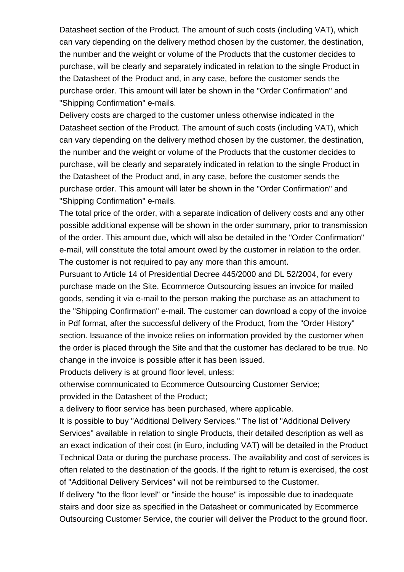Datasheet section of the Product. The amount of such costs (including VAT), which can vary depending on the delivery method chosen by the customer, the destination, the number and the weight or volume of the Products that the customer decides to purchase, will be clearly and separately indicated in relation to the single Product in the Datasheet of the Product and, in any case, before the customer sends the purchase order. This amount will later be shown in the "Order Confirmation" and "Shipping Confirmation" e-mails.

Delivery costs are charged to the customer unless otherwise indicated in the Datasheet section of the Product. The amount of such costs (including VAT), which can vary depending on the delivery method chosen by the customer, the destination, the number and the weight or volume of the Products that the customer decides to purchase, will be clearly and separately indicated in relation to the single Product in the Datasheet of the Product and, in any case, before the customer sends the purchase order. This amount will later be shown in the "Order Confirmation" and "Shipping Confirmation" e-mails.

The total price of the order, with a separate indication of delivery costs and any other possible additional expense will be shown in the order summary, prior to transmission of the order. This amount due, which will also be detailed in the "Order Confirmation" e-mail, will constitute the total amount owed by the customer in relation to the order. The customer is not required to pay any more than this amount.

Pursuant to Article 14 of Presidential Decree 445/2000 and DL 52/2004, for every purchase made on the Site, Ecommerce Outsourcing issues an invoice for mailed goods, sending it via e-mail to the person making the purchase as an attachment to the "Shipping Confirmation" e-mail. The customer can download a copy of the invoice in Pdf format, after the successful delivery of the Product, from the "Order History" section. Issuance of the invoice relies on information provided by the customer when the order is placed through the Site and that the customer has declared to be true. No change in the invoice is possible after it has been issued.

Products delivery is at ground floor level, unless:

otherwise communicated to Ecommerce Outsourcing Customer Service;

provided in the Datasheet of the Product;

a delivery to floor service has been purchased, where applicable.

It is possible to buy "Additional Delivery Services." The list of "Additional Delivery Services" available in relation to single Products, their detailed description as well as an exact indication of their cost (in Euro, including VAT) will be detailed in the Product Technical Data or during the purchase process. The availability and cost of services is often related to the destination of the goods. If the right to return is exercised, the cost of "Additional Delivery Services" will not be reimbursed to the Customer.

If delivery "to the floor level" or "inside the house" is impossible due to inadequate stairs and door size as specified in the Datasheet or communicated by Ecommerce Outsourcing Customer Service, the courier will deliver the Product to the ground floor.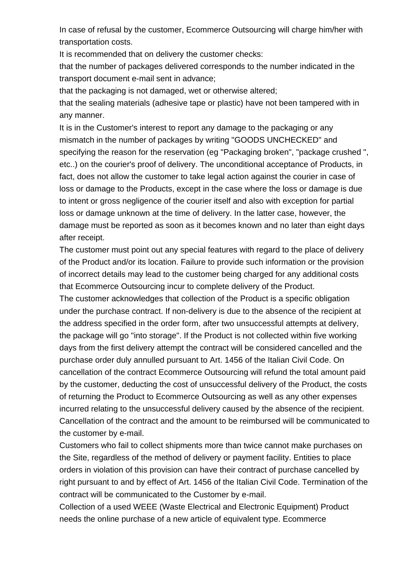In case of refusal by the customer, Ecommerce Outsourcing will charge him/her with transportation costs.

It is recommended that on delivery the customer checks:

that the number of packages delivered corresponds to the number indicated in the transport document e-mail sent in advance;

that the packaging is not damaged, wet or otherwise altered;

that the sealing materials (adhesive tape or plastic) have not been tampered with in any manner.

It is in the Customer's interest to report any damage to the packaging or any mismatch in the number of packages by writing "GOODS UNCHECKED" and specifying the reason for the reservation (eg "Packaging broken", "package crushed ", etc..) on the courier's proof of delivery. The unconditional acceptance of Products, in fact, does not allow the customer to take legal action against the courier in case of loss or damage to the Products, except in the case where the loss or damage is due to intent or gross negligence of the courier itself and also with exception for partial loss or damage unknown at the time of delivery. In the latter case, however, the damage must be reported as soon as it becomes known and no later than eight days after receipt.

The customer must point out any special features with regard to the place of delivery of the Product and/or its location. Failure to provide such information or the provision of incorrect details may lead to the customer being charged for any additional costs that Ecommerce Outsourcing incur to complete delivery of the Product.

The customer acknowledges that collection of the Product is a specific obligation under the purchase contract. If non-delivery is due to the absence of the recipient at the address specified in the order form, after two unsuccessful attempts at delivery, the package will go "into storage". If the Product is not collected within five working days from the first delivery attempt the contract will be considered cancelled and the purchase order duly annulled pursuant to Art. 1456 of the Italian Civil Code. On cancellation of the contract Ecommerce Outsourcing will refund the total amount paid by the customer, deducting the cost of unsuccessful delivery of the Product, the costs of returning the Product to Ecommerce Outsourcing as well as any other expenses incurred relating to the unsuccessful delivery caused by the absence of the recipient. Cancellation of the contract and the amount to be reimbursed will be communicated to the customer by e-mail.

Customers who fail to collect shipments more than twice cannot make purchases on the Site, regardless of the method of delivery or payment facility. Entities to place orders in violation of this provision can have their contract of purchase cancelled by right pursuant to and by effect of Art. 1456 of the Italian Civil Code. Termination of the contract will be communicated to the Customer by e-mail.

Collection of a used WEEE (Waste Electrical and Electronic Equipment) Product needs the online purchase of a new article of equivalent type. Ecommerce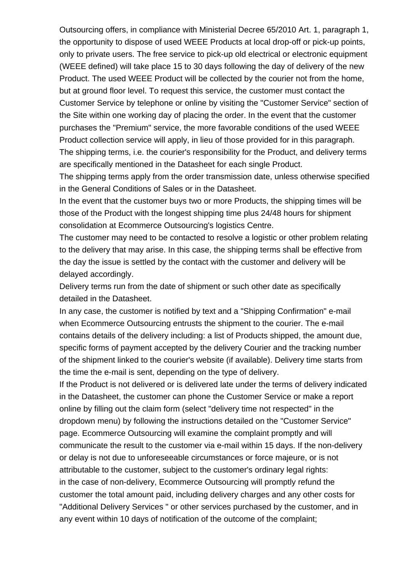Outsourcing offers, in compliance with Ministerial Decree 65/2010 Art. 1, paragraph 1, the opportunity to dispose of used WEEE Products at local drop-off or pick-up points, only to private users. The free service to pick-up old electrical or electronic equipment (WEEE defined) will take place 15 to 30 days following the day of delivery of the new Product. The used WEEE Product will be collected by the courier not from the home, but at ground floor level. To request this service, the customer must contact the Customer Service by telephone or online by visiting the "Customer Service" section of the Site within one working day of placing the order. In the event that the customer purchases the "Premium" service, the more favorable conditions of the used WEEE Product collection service will apply, in lieu of those provided for in this paragraph. The shipping terms, i.e. the courier's responsibility for the Product, and delivery terms are specifically mentioned in the Datasheet for each single Product.

The shipping terms apply from the order transmission date, unless otherwise specified in the General Conditions of Sales or in the Datasheet.

In the event that the customer buys two or more Products, the shipping times will be those of the Product with the longest shipping time plus 24/48 hours for shipment consolidation at Ecommerce Outsourcing's logistics Centre.

The customer may need to be contacted to resolve a logistic or other problem relating to the delivery that may arise. In this case, the shipping terms shall be effective from the day the issue is settled by the contact with the customer and delivery will be delayed accordingly.

Delivery terms run from the date of shipment or such other date as specifically detailed in the Datasheet.

In any case, the customer is notified by text and a "Shipping Confirmation" e-mail when Ecommerce Outsourcing entrusts the shipment to the courier. The e-mail contains details of the delivery including: a list of Products shipped, the amount due, specific forms of payment accepted by the delivery Courier and the tracking number of the shipment linked to the courier's website (if available). Delivery time starts from the time the e-mail is sent, depending on the type of delivery.

If the Product is not delivered or is delivered late under the terms of delivery indicated in the Datasheet, the customer can phone the Customer Service or make a report online by filling out the claim form (select "delivery time not respected" in the dropdown menu) by following the instructions detailed on the "Customer Service" page. Ecommerce Outsourcing will examine the complaint promptly and will communicate the result to the customer via e-mail within 15 days. If the non-delivery or delay is not due to unforeseeable circumstances or force majeure, or is not attributable to the customer, subject to the customer's ordinary legal rights: in the case of non-delivery, Ecommerce Outsourcing will promptly refund the customer the total amount paid, including delivery charges and any other costs for "Additional Delivery Services " or other services purchased by the customer, and in any event within 10 days of notification of the outcome of the complaint;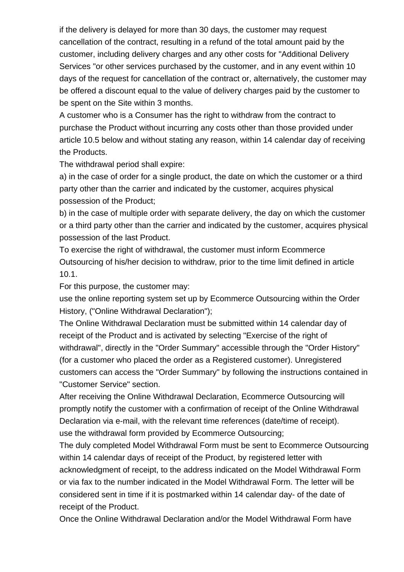if the delivery is delayed for more than 30 days, the customer may request cancellation of the contract, resulting in a refund of the total amount paid by the customer, including delivery charges and any other costs for "Additional Delivery Services "or other services purchased by the customer, and in any event within 10 days of the request for cancellation of the contract or, alternatively, the customer may be offered a discount equal to the value of delivery charges paid by the customer to be spent on the Site within 3 months.

A customer who is a Consumer has the right to withdraw from the contract to purchase the Product without incurring any costs other than those provided under article 10.5 below and without stating any reason, within 14 calendar day of receiving the Products.

The withdrawal period shall expire:

a) in the case of order for a single product, the date on which the customer or a third party other than the carrier and indicated by the customer, acquires physical possession of the Product;

b) in the case of multiple order with separate delivery, the day on which the customer or a third party other than the carrier and indicated by the customer, acquires physical possession of the last Product.

To exercise the right of withdrawal, the customer must inform Ecommerce Outsourcing of his/her decision to withdraw, prior to the time limit defined in article 10.1.

For this purpose, the customer may:

use the online reporting system set up by Ecommerce Outsourcing within the Order History, ("Online Withdrawal Declaration");

The Online Withdrawal Declaration must be submitted within 14 calendar day of receipt of the Product and is activated by selecting "Exercise of the right of withdrawal", directly in the "Order Summary" accessible through the "Order History" (for a customer who placed the order as a Registered customer). Unregistered customers can access the "Order Summary" by following the instructions contained in "Customer Service" section.

After receiving the Online Withdrawal Declaration, Ecommerce Outsourcing will promptly notify the customer with a confirmation of receipt of the Online Withdrawal Declaration via e-mail, with the relevant time references (date/time of receipt). use the [withdrawal form](/Risorse/FABBRI/Files/Commons/EN/Modulo Cartaceo EN.pdf) provided by Ecommerce Outsourcing;

The duly completed Model Withdrawal Form must be sent to Ecommerce Outsourcing within 14 calendar days of receipt of the Product, by registered letter with acknowledgment of receipt, to the address indicated on the Model Withdrawal Form or via fax to the number indicated in the Model Withdrawal Form. The letter will be considered sent in time if it is postmarked within 14 calendar day- of the date of receipt of the Product.

Once the Online Withdrawal Declaration and/or the Model Withdrawal Form have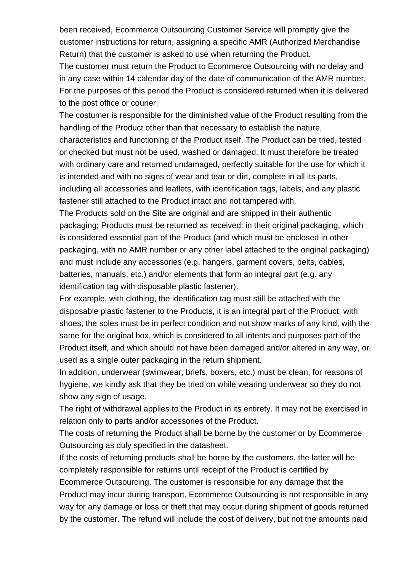been received, Ecommerce Outsourcing Customer Service will promptly give the customer instructions for return, assigning a specific AMR (Authorized Merchandise Return) that the customer is asked to use when returning the Product.

The customer must return the Product to Ecommerce Outsourcing with no delay and in any case within 14 calendar day of the date of communication of the AMR number. For the purposes of this period the Product is considered returned when it is delivered to the post office or courier.

The costumer is responsible for the diminished value of the Product resulting from the handling of the Product other than that necessary to establish the nature, characteristics and functioning of the Product itself. The Product can be tried, tested or checked but must not be used, washed or damaged. It must therefore be treated with ordinary care and returned undamaged, perfectly suitable for the use for which it is intended and with no signs of wear and tear or dirt, complete in all its parts, including all accessories and leaflets, with identification tags, labels, and any plastic fastener still attached to the Product intact and not tampered with.

The Products sold on the Site are original and are shipped in their authentic packaging; Products must be returned as received: in their original packaging, which is considered essential part of the Product (and which must be enclosed in other packaging, with no AMR number or any other label attached to the original packaging) and must include any accessories (e.g. hangers, garment covers, belts, cables, batteries, manuals, etc.) and/or elements that form an integral part (e.g. any identification tag with disposable plastic fastener).

For example, with clothing, the identification tag must still be attached with the disposable plastic fastener to the Products, it is an integral part of the Product; with shoes, the soles must be in perfect condition and not show marks of any kind, with the same for the original box, which is considered to all intents and purposes part of the Product itself, and which should not have been damaged and/or altered in any way, or used as a single outer packaging in the return shipment.

In addition, underwear (swimwear, briefs, boxers, etc.) must be clean, for reasons of hygiene, we kindly ask that they be tried on while wearing underwear so they do not show any sign of usage.

The right of withdrawal applies to the Product in its entirety. It may not be exercised in relation only to parts and/or accessories of the Product.

The costs of returning the Product shall be borne by the customer or by Ecommerce Outsourcing as duly specified in the datasheet.

If the costs of returning products shall be borne by the customers, the latter will be completely responsible for returns until receipt of the Product is certified by Ecommerce Outsourcing. The customer is responsible for any damage that the Product may incur during transport. Ecommerce Outsourcing is not responsible in any way for any damage or loss or theft that may occur during shipment of goods returned by the customer. The refund will include the cost of delivery, but not the amounts paid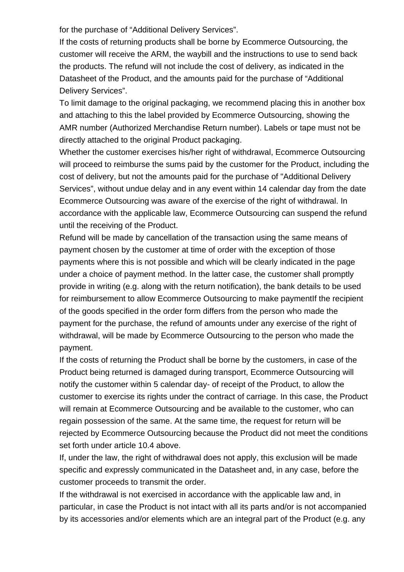for the purchase of "Additional Delivery Services".

If the costs of returning products shall be borne by Ecommerce Outsourcing, the customer will receive the ARM, the waybill and the instructions to use to send back the products. The refund will not include the cost of delivery, as indicated in the Datasheet of the Product, and the amounts paid for the purchase of "Additional Delivery Services".

To limit damage to the original packaging, we recommend placing this in another box and attaching to this the label provided by Ecommerce Outsourcing, showing the AMR number (Authorized Merchandise Return number). Labels or tape must not be directly attached to the original Product packaging.

Whether the customer exercises his/her right of withdrawal, Ecommerce Outsourcing will proceed to reimburse the sums paid by the customer for the Product, including the cost of delivery, but not the amounts paid for the purchase of "Additional Delivery Services", without undue delay and in any event within 14 calendar day from the date Ecommerce Outsourcing was aware of the exercise of the right of withdrawal. In accordance with the applicable law, Ecommerce Outsourcing can suspend the refund until the receiving of the Product.

Refund will be made by cancellation of the transaction using the same means of payment chosen by the customer at time of order with the exception of those payments where this is not possible and which will be clearly indicated in the page under a choice of payment method. In the latter case, the customer shall promptly provide in writing (e.g. along with the return notification), the bank details to be used for reimbursement to allow Ecommerce Outsourcing to make paymentIf the recipient of the goods specified in the order form differs from the person who made the payment for the purchase, the refund of amounts under any exercise of the right of withdrawal, will be made by Ecommerce Outsourcing to the person who made the payment.

If the costs of returning the Product shall be borne by the customers, in case of the Product being returned is damaged during transport, Ecommerce Outsourcing will notify the customer within 5 calendar day- of receipt of the Product, to allow the customer to exercise its rights under the contract of carriage. In this case, the Product will remain at Ecommerce Outsourcing and be available to the customer, who can regain possession of the same. At the same time, the request for return will be rejected by Ecommerce Outsourcing because the Product did not meet the conditions set forth under article 10.4 above.

If, under the law, the right of withdrawal does not apply, this exclusion will be made specific and expressly communicated in the Datasheet and, in any case, before the customer proceeds to transmit the order.

If the withdrawal is not exercised in accordance with the applicable law and, in particular, in case the Product is not intact with all its parts and/or is not accompanied by its accessories and/or elements which are an integral part of the Product (e.g. any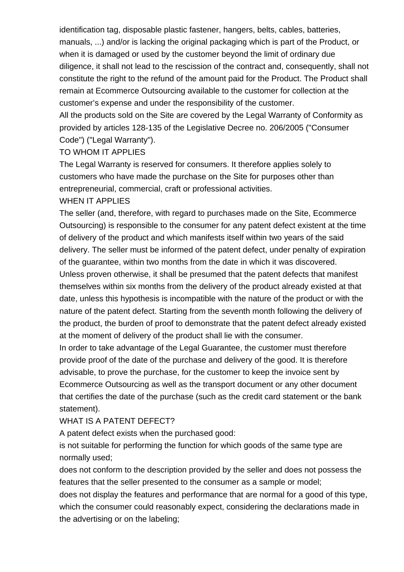identification tag, disposable plastic fastener, hangers, belts, cables, batteries, manuals, ...) and/or is lacking the original packaging which is part of the Product, or when it is damaged or used by the customer beyond the limit of ordinary due diligence, it shall not lead to the rescission of the contract and, consequently, shall not constitute the right to the refund of the amount paid for the Product. The Product shall remain at Ecommerce Outsourcing available to the customer for collection at the customer's expense and under the responsibility of the customer.

All the products sold on the Site are covered by the Legal Warranty of Conformity as provided by articles 128-135 of the Legislative Decree no. 206/2005 ("Consumer Code") ("Legal Warranty").

#### TO WHOM IT APPLIES

The Legal Warranty is reserved for consumers. It therefore applies solely to customers who have made the purchase on the Site for purposes other than entrepreneurial, commercial, craft or professional activities.

#### WHEN IT APPLIES

The seller (and, therefore, with regard to purchases made on the Site, Ecommerce Outsourcing) is responsible to the consumer for any patent defect existent at the time of delivery of the product and which manifests itself within two years of the said delivery. The seller must be informed of the patent defect, under penalty of expiration of the guarantee, within two months from the date in which it was discovered. Unless proven otherwise, it shall be presumed that the patent defects that manifest themselves within six months from the delivery of the product already existed at that date, unless this hypothesis is incompatible with the nature of the product or with the nature of the patent defect. Starting from the seventh month following the delivery of the product, the burden of proof to demonstrate that the patent defect already existed at the moment of delivery of the product shall lie with the consumer.

In order to take advantage of the Legal Guarantee, the customer must therefore provide proof of the date of the purchase and delivery of the good. It is therefore advisable, to prove the purchase, for the customer to keep the invoice sent by Ecommerce Outsourcing as well as the transport document or any other document that certifies the date of the purchase (such as the credit card statement or the bank statement).

#### WHAT IS A PATENT DEFECT?

A patent defect exists when the purchased good:

is not suitable for performing the function for which goods of the same type are normally used;

does not conform to the description provided by the seller and does not possess the features that the seller presented to the consumer as a sample or model;

does not display the features and performance that are normal for a good of this type, which the consumer could reasonably expect, considering the declarations made in the advertising or on the labeling;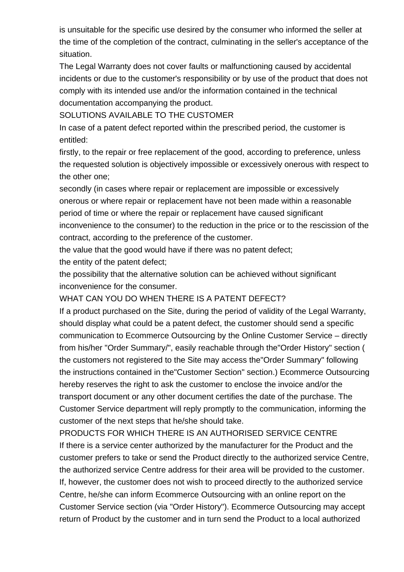is unsuitable for the specific use desired by the consumer who informed the seller at the time of the completion of the contract, culminating in the seller's acceptance of the situation.

The Legal Warranty does not cover faults or malfunctioning caused by accidental incidents or due to the customer's responsibility or by use of the product that does not comply with its intended use and/or the information contained in the technical documentation accompanying the product.

SOLUTIONS AVAILABLE TO THE CUSTOMER

In case of a patent defect reported within the prescribed period, the customer is entitled:

firstly, to the repair or free replacement of the good, according to preference, unless the requested solution is objectively impossible or excessively onerous with respect to the other one;

secondly (in cases where repair or replacement are impossible or excessively onerous or where repair or replacement have not been made within a reasonable period of time or where the repair or replacement have caused significant inconvenience to the consumer) to the reduction in the price or to the rescission of the contract, according to the preference of the customer.

the value that the good would have if there was no patent defect;

the entity of the patent defect;

the possibility that the alternative solution can be achieved without significant inconvenience for the consumer.

WHAT CAN YOU DO WHEN THERE IS A PATENT DEFECT?

If a product purchased on the Site, during the period of validity of the Legal Warranty, should display what could be a patent defect, the customer should send a specific communication to Ecommerce Outsourcing by the Online Customer Service – directly from his/her "Order Summary/", easily reachable through the"Order History" section ( the customers not registered to the Site may access the"Order Summary" following the instructions contained in the"Customer Section" section.) Ecommerce Outsourcing hereby reserves the right to ask the customer to enclose the invoice and/or the transport document or any other document certifies the date of the purchase. The Customer Service department will reply promptly to the communication, informing the customer of the next steps that he/she should take.

PRODUCTS FOR WHICH THERE IS AN AUTHORISED SERVICE CENTRE If there is a service center authorized by the manufacturer for the Product and the customer prefers to take or send the Product directly to the authorized service Centre, the authorized service Centre address for their area will be provided to the customer. If, however, the customer does not wish to proceed directly to the authorized service Centre, he/she can inform Ecommerce Outsourcing with an online report on the Customer Service section (via "Order History"). Ecommerce Outsourcing may accept return of Product by the customer and in turn send the Product to a local authorized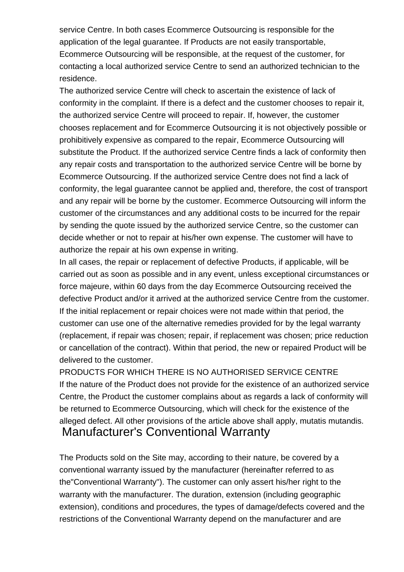service Centre. In both cases Ecommerce Outsourcing is responsible for the application of the legal guarantee. If Products are not easily transportable, Ecommerce Outsourcing will be responsible, at the request of the customer, for contacting a local authorized service Centre to send an authorized technician to the residence.

The authorized service Centre will check to ascertain the existence of lack of conformity in the complaint. If there is a defect and the customer chooses to repair it, the authorized service Centre will proceed to repair. If, however, the customer chooses replacement and for Ecommerce Outsourcing it is not objectively possible or prohibitively expensive as compared to the repair, Ecommerce Outsourcing will substitute the Product. If the authorized service Centre finds a lack of conformity then any repair costs and transportation to the authorized service Centre will be borne by Ecommerce Outsourcing. If the authorized service Centre does not find a lack of conformity, the legal guarantee cannot be applied and, therefore, the cost of transport and any repair will be borne by the customer. Ecommerce Outsourcing will inform the customer of the circumstances and any additional costs to be incurred for the repair by sending the quote issued by the authorized service Centre, so the customer can decide whether or not to repair at his/her own expense. The customer will have to authorize the repair at his own expense in writing.

In all cases, the repair or replacement of defective Products, if applicable, will be carried out as soon as possible and in any event, unless exceptional circumstances or force majeure, within 60 days from the day Ecommerce Outsourcing received the defective Product and/or it arrived at the authorized service Centre from the customer. If the initial replacement or repair choices were not made within that period, the customer can use one of the alternative remedies provided for by the legal warranty (replacement, if repair was chosen; repair, if replacement was chosen; price reduction or cancellation of the contract). Within that period, the new or repaired Product will be delivered to the customer.

PRODUCTS FOR WHICH THERE IS NO AUTHORISED SERVICE CENTRE If the nature of the Product does not provide for the existence of an authorized service Centre, the Product the customer complains about as regards a lack of conformity will be returned to Ecommerce Outsourcing, which will check for the existence of the alleged defect. All other provisions of the article above shall apply, mutatis mutandis. Manufacturer's Conventional Warranty

The Products sold on the Site may, according to their nature, be covered by a conventional warranty issued by the manufacturer (hereinafter referred to as the"Conventional Warranty"). The customer can only assert his/her right to the warranty with the manufacturer. The duration, extension (including geographic extension), conditions and procedures, the types of damage/defects covered and the restrictions of the Conventional Warranty depend on the manufacturer and are